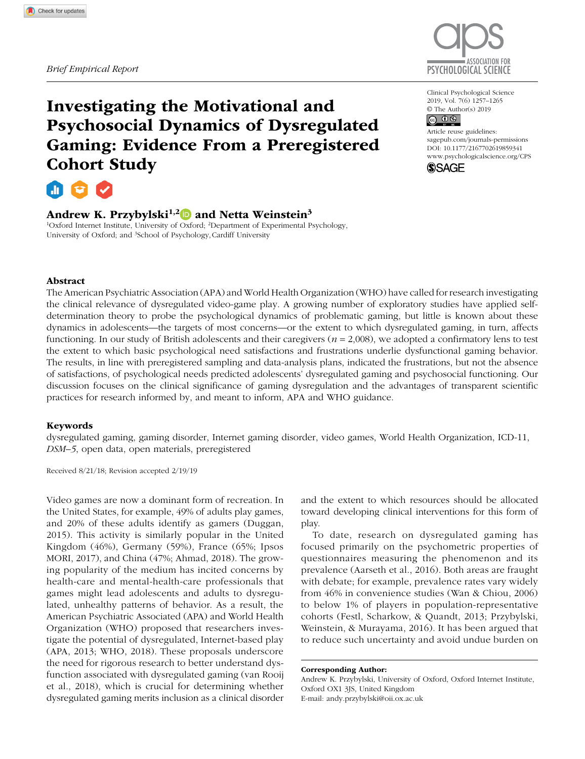

# Investigating the Motivational and Psychosocial Dynamics of Dysregulated Gaming: Evidence From a Preregistered Cohort Study



# Andrew K. Przybylski<sup>1,2</sup> $\Box$  and Netta Weinstein<sup>3</sup>

<sup>1</sup>Oxford Internet Institute, University of Oxford; <sup>2</sup>Department of Experimental Psychology, University of Oxford; and <sup>3</sup>School of Psychology, Cardiff University

### Abstract

The American Psychiatric Association (APA) and World Health Organization (WHO) have called for research investigating the clinical relevance of dysregulated video-game play. A growing number of exploratory studies have applied selfdetermination theory to probe the psychological dynamics of problematic gaming, but little is known about these dynamics in adolescents—the targets of most concerns—or the extent to which dysregulated gaming, in turn, affects functioning. In our study of British adolescents and their caregivers (*n* = 2,008), we adopted a confirmatory lens to test the extent to which basic psychological need satisfactions and frustrations underlie dysfunctional gaming behavior. The results, in line with preregistered sampling and data-analysis plans, indicated the frustrations, but not the absence of satisfactions, of psychological needs predicted adolescents' dysregulated gaming and psychosocial functioning. Our discussion focuses on the clinical significance of gaming dysregulation and the advantages of transparent scientific practices for research informed by, and meant to inform, APA and WHO guidance.

### Keywords

dysregulated gaming, gaming disorder, Internet gaming disorder, video games, World Health Organization, ICD-11, *DSM–5*, open data, open materials, preregistered

Received 8/21/18; Revision accepted 2/19/19

Video games are now a dominant form of recreation. In the United States, for example, 49% of adults play games, and 20% of these adults identify as gamers (Duggan, 2015). This activity is similarly popular in the United Kingdom (46%), Germany (59%), France (65%; Ipsos MORI, 2017), and China (47%; Ahmad, 2018). The growing popularity of the medium has incited concerns by health-care and mental-health-care professionals that games might lead adolescents and adults to dysregulated, unhealthy patterns of behavior. As a result, the American Psychiatric Associated (APA) and World Health Organization (WHO) proposed that researchers investigate the potential of dysregulated, Internet-based play (APA, 2013; WHO, 2018). These proposals underscore the need for rigorous research to better understand dysfunction associated with dysregulated gaming (van Rooij et al., 2018), which is crucial for determining whether dysregulated gaming merits inclusion as a clinical disorder

and the extent to which resources should be allocated toward developing clinical interventions for this form of play.

To date, research on dysregulated gaming has focused primarily on the psychometric properties of questionnaires measuring the phenomenon and its prevalence (Aarseth et al., 2016). Both areas are fraught with debate; for example, prevalence rates vary widely from 46% in convenience studies (Wan & Chiou, 2006) to below 1% of players in population-representative cohorts (Festl, Scharkow, & Quandt, 2013; Przybylski, Weinstein, & Murayama, 2016). It has been argued that to reduce such uncertainty and avoid undue burden on

#### Corresponding Author:

Andrew K. Przybylski, University of Oxford, Oxford Internet Institute, Oxford OX1 3JS, United Kingdom E-mail: [andy.przybylski@oii.ox.ac.uk](mailto:andy.przybylski@oii.ox.ac.uk)

Clinical Psychological Science 2019, Vol. 7(6) 1257–1265 © The Author(s) 2019

 $\circledcirc$   $\circledcirc$ 

https://doi.org/10.1177/2167702619859341 DOI: 10.1177/2167702619859341 Article reuse guidelines: [sagepub.com/journals-permissions](https://sagepub.com/journals-permissions) [www.psychologicalscience.org/](http://www.psychologicalscience.org/cps)CPS

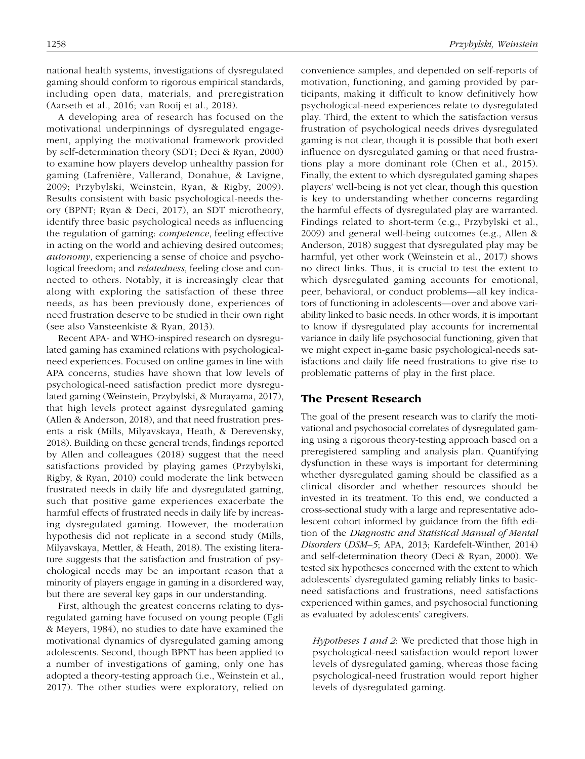national health systems, investigations of dysregulated gaming should conform to rigorous empirical standards, including open data, materials, and preregistration (Aarseth et al., 2016; van Rooij et al., 2018).

A developing area of research has focused on the motivational underpinnings of dysregulated engagement, applying the motivational framework provided by self-determination theory (SDT; Deci & Ryan, 2000) to examine how players develop unhealthy passion for gaming (Lafrenière, Vallerand, Donahue, & Lavigne, 2009; Przybylski, Weinstein, Ryan, & Rigby, 2009). Results consistent with basic psychological-needs theory (BPNT; Ryan & Deci, 2017), an SDT microtheory, identify three basic psychological needs as influencing the regulation of gaming: *competence*, feeling effective in acting on the world and achieving desired outcomes; *autonomy*, experiencing a sense of choice and psychological freedom; and *relatedness*, feeling close and connected to others. Notably, it is increasingly clear that along with exploring the satisfaction of these three needs, as has been previously done, experiences of need frustration deserve to be studied in their own right (see also Vansteenkiste & Ryan, 2013).

Recent APA- and WHO-inspired research on dysregulated gaming has examined relations with psychologicalneed experiences. Focused on online games in line with APA concerns, studies have shown that low levels of psychological-need satisfaction predict more dysregulated gaming (Weinstein, Przybylski, & Murayama, 2017), that high levels protect against dysregulated gaming (Allen & Anderson, 2018), and that need frustration presents a risk (Mills, Milyavskaya, Heath, & Derevensky, 2018). Building on these general trends, findings reported by Allen and colleagues (2018) suggest that the need satisfactions provided by playing games (Przybylski, Rigby, & Ryan, 2010) could moderate the link between frustrated needs in daily life and dysregulated gaming, such that positive game experiences exacerbate the harmful effects of frustrated needs in daily life by increasing dysregulated gaming. However, the moderation hypothesis did not replicate in a second study (Mills, Milyavskaya, Mettler, & Heath, 2018). The existing literature suggests that the satisfaction and frustration of psychological needs may be an important reason that a minority of players engage in gaming in a disordered way, but there are several key gaps in our understanding.

First, although the greatest concerns relating to dysregulated gaming have focused on young people (Egli & Meyers, 1984), no studies to date have examined the motivational dynamics of dysregulated gaming among adolescents. Second, though BPNT has been applied to a number of investigations of gaming, only one has adopted a theory-testing approach (i.e., Weinstein et al., 2017). The other studies were exploratory, relied on convenience samples, and depended on self-reports of motivation, functioning, and gaming provided by participants, making it difficult to know definitively how psychological-need experiences relate to dysregulated play. Third, the extent to which the satisfaction versus frustration of psychological needs drives dysregulated gaming is not clear, though it is possible that both exert influence on dysregulated gaming or that need frustrations play a more dominant role (Chen et al., 2015). Finally, the extent to which dysregulated gaming shapes players' well-being is not yet clear, though this question is key to understanding whether concerns regarding the harmful effects of dysregulated play are warranted. Findings related to short-term (e.g., Przybylski et al., 2009) and general well-being outcomes (e.g., Allen & Anderson, 2018) suggest that dysregulated play may be harmful, yet other work (Weinstein et al., 2017) shows no direct links. Thus, it is crucial to test the extent to which dysregulated gaming accounts for emotional, peer, behavioral, or conduct problems—all key indicators of functioning in adolescents—over and above variability linked to basic needs. In other words, it is important to know if dysregulated play accounts for incremental variance in daily life psychosocial functioning, given that we might expect in-game basic psychological-needs satisfactions and daily life need frustrations to give rise to problematic patterns of play in the first place.

### The Present Research

The goal of the present research was to clarify the motivational and psychosocial correlates of dysregulated gaming using a rigorous theory-testing approach based on a preregistered sampling and analysis plan. Quantifying dysfunction in these ways is important for determining whether dysregulated gaming should be classified as a clinical disorder and whether resources should be invested in its treatment. To this end, we conducted a cross-sectional study with a large and representative adolescent cohort informed by guidance from the fifth edition of the *Diagnostic and Statistical Manual of Mental Disorders* (*DSM–5*; APA, 2013; Kardefelt-Winther, 2014) and self-determination theory (Deci & Ryan, 2000). We tested six hypotheses concerned with the extent to which adolescents' dysregulated gaming reliably links to basicneed satisfactions and frustrations, need satisfactions experienced within games, and psychosocial functioning as evaluated by adolescents' caregivers.

*Hypotheses 1 and 2*: We predicted that those high in psychological-need satisfaction would report lower levels of dysregulated gaming, whereas those facing psychological-need frustration would report higher levels of dysregulated gaming.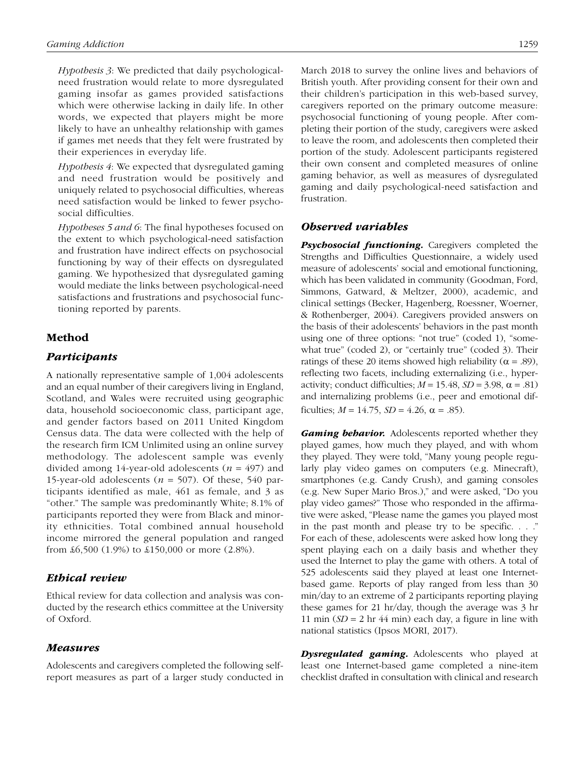*Hypothesis 3*: We predicted that daily psychologicalneed frustration would relate to more dysregulated gaming insofar as games provided satisfactions which were otherwise lacking in daily life. In other words, we expected that players might be more likely to have an unhealthy relationship with games if games met needs that they felt were frustrated by their experiences in everyday life.

*Hypothesis 4*: We expected that dysregulated gaming and need frustration would be positively and uniquely related to psychosocial difficulties, whereas need satisfaction would be linked to fewer psychosocial difficulties.

*Hypotheses 5 and 6*: The final hypotheses focused on the extent to which psychological-need satisfaction and frustration have indirect effects on psychosocial functioning by way of their effects on dysregulated gaming. We hypothesized that dysregulated gaming would mediate the links between psychological-need satisfactions and frustrations and psychosocial functioning reported by parents.

# Method

# *Participants*

A nationally representative sample of 1,004 adolescents and an equal number of their caregivers living in England, Scotland, and Wales were recruited using geographic data, household socioeconomic class, participant age, and gender factors based on 2011 United Kingdom Census data. The data were collected with the help of the research firm ICM Unlimited using an online survey methodology. The adolescent sample was evenly divided among 14-year-old adolescents (*n* = 497) and 15-year-old adolescents ( $n = 507$ ). Of these, 540 participants identified as male, 461 as female, and 3 as "other." The sample was predominantly White; 8.1% of participants reported they were from Black and minority ethnicities. Total combined annual household income mirrored the general population and ranged from £6,500 (1.9%) to £150,000 or more (2.8%).

# *Ethical review*

Ethical review for data collection and analysis was conducted by the research ethics committee at the University of Oxford.

### *Measures*

Adolescents and caregivers completed the following selfreport measures as part of a larger study conducted in March 2018 to survey the online lives and behaviors of British youth. After providing consent for their own and their children's participation in this web-based survey, caregivers reported on the primary outcome measure: psychosocial functioning of young people. After completing their portion of the study, caregivers were asked to leave the room, and adolescents then completed their portion of the study. Adolescent participants registered their own consent and completed measures of online gaming behavior, as well as measures of dysregulated gaming and daily psychological-need satisfaction and frustration.

## *Observed variables*

*Psychosocial functioning.* Caregivers completed the Strengths and Difficulties Questionnaire, a widely used measure of adolescents' social and emotional functioning, which has been validated in community (Goodman, Ford, Simmons, Gatward, & Meltzer, 2000), academic, and clinical settings (Becker, Hagenberg, Roessner, Woerner, & Rothenberger, 2004). Caregivers provided answers on the basis of their adolescents' behaviors in the past month using one of three options: "not true" (coded 1), "somewhat true" (coded 2), or "certainly true" (coded 3). Their ratings of these 20 items showed high reliability ( $\alpha = .89$ ), reflecting two facets, including externalizing (i.e., hyperactivity; conduct difficulties;  $M = 15.48$ ,  $SD = 3.98$ ,  $\alpha = .81$ ) and internalizing problems (i.e., peer and emotional difficulties;  $M = 14.75$ ,  $SD = 4.26$ ,  $\alpha = .85$ ).

*Gaming behavior.* Adolescents reported whether they played games, how much they played, and with whom they played. They were told, "Many young people regularly play video games on computers (e.g. Minecraft), smartphones (e.g. Candy Crush), and gaming consoles (e.g. New Super Mario Bros.)," and were asked, "Do you play video games?" Those who responded in the affirmative were asked, "Please name the games you played most in the past month and please try to be specific. . . ." For each of these, adolescents were asked how long they spent playing each on a daily basis and whether they used the Internet to play the game with others. A total of 525 adolescents said they played at least one Internetbased game. Reports of play ranged from less than 30 min/day to an extreme of 2 participants reporting playing these games for 21 hr/day, though the average was 3 hr 11 min  $(SD = 2 \text{ hr } 44 \text{ min})$  each day, a figure in line with national statistics (Ipsos MORI, 2017).

**Dysregulated gaming.** Adolescents who played at least one Internet-based game completed a nine-item checklist drafted in consultation with clinical and research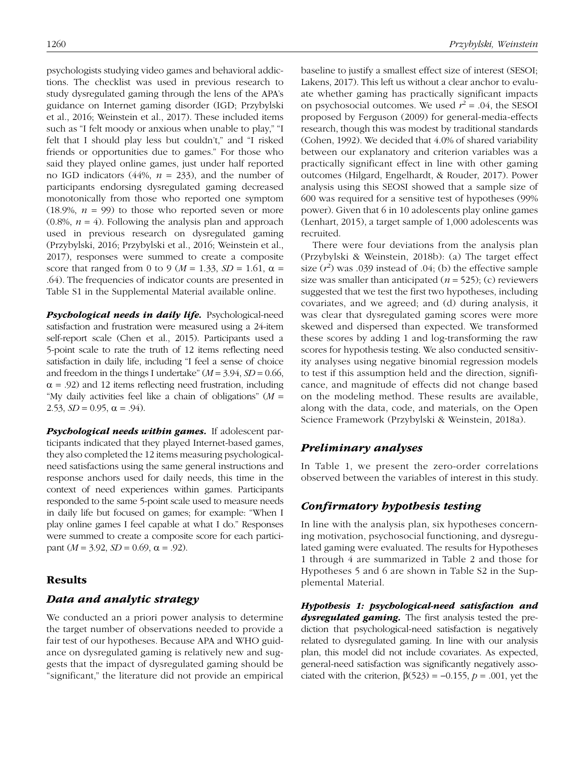psychologists studying video games and behavioral addictions. The checklist was used in previous research to study dysregulated gaming through the lens of the APA's guidance on Internet gaming disorder (IGD; Przybylski et al., 2016; Weinstein et al., 2017). These included items such as "I felt moody or anxious when unable to play," "I felt that I should play less but couldn't," and "I risked friends or opportunities due to games." For those who said they played online games, just under half reported no IGD indicators (44%, *n* = 233), and the number of participants endorsing dysregulated gaming decreased monotonically from those who reported one symptom  $(18.9\%, n = 99)$  to those who reported seven or more  $(0.8\%, n = 4)$ . Following the analysis plan and approach used in previous research on dysregulated gaming (Przybylski, 2016; Przybylski et al., 2016; Weinstein et al., 2017), responses were summed to create a composite score that ranged from 0 to 9 ( $M = 1.33$ ,  $SD = 1.61$ ,  $\alpha =$ .64). The frequencies of indicator counts are presented in Table S1 in the Supplemental Material available online.

*Psychological needs in daily life.* Psychological-need satisfaction and frustration were measured using a 24-item self-report scale (Chen et al., 2015). Participants used a 5-point scale to rate the truth of 12 items reflecting need satisfaction in daily life, including "I feel a sense of choice and freedom in the things I undertake"  $(M = 3.94, SD = 0.66,$  $\alpha$  = .92) and 12 items reflecting need frustration, including "My daily activities feel like a chain of obligations" (*M* = 2.53,  $SD = 0.95$ ,  $\alpha = .94$ ).

*Psychological needs within games.* If adolescent participants indicated that they played Internet-based games, they also completed the 12 items measuring psychologicalneed satisfactions using the same general instructions and response anchors used for daily needs, this time in the context of need experiences within games. Participants responded to the same 5-point scale used to measure needs in daily life but focused on games; for example: "When I play online games I feel capable at what I do." Responses were summed to create a composite score for each participant  $(M = 3.92, SD = 0.69, \alpha = .92)$ .

# Results

# *Data and analytic strategy*

We conducted an a priori power analysis to determine the target number of observations needed to provide a fair test of our hypotheses. Because APA and WHO guidance on dysregulated gaming is relatively new and suggests that the impact of dysregulated gaming should be "significant," the literature did not provide an empirical baseline to justify a smallest effect size of interest (SESOI; Lakens, 2017). This left us without a clear anchor to evaluate whether gaming has practically significant impacts on psychosocial outcomes. We used  $r^2 = .04$ , the SESOI proposed by Ferguson (2009) for general-media-effects research, though this was modest by traditional standards (Cohen, 1992). We decided that 4.0% of shared variability between our explanatory and criterion variables was a practically significant effect in line with other gaming outcomes (Hilgard, Engelhardt, & Rouder, 2017). Power analysis using this SEOSI showed that a sample size of 600 was required for a sensitive test of hypotheses (99% power). Given that 6 in 10 adolescents play online games (Lenhart, 2015), a target sample of 1,000 adolescents was recruited.

There were four deviations from the analysis plan (Przybylski & Weinstein, 2018b): (a) The target effect size  $(r^2)$  was .039 instead of .04; (b) the effective sample size was smaller than anticipated  $(n = 525)$ ; (c) reviewers suggested that we test the first two hypotheses, including covariates, and we agreed; and (d) during analysis, it was clear that dysregulated gaming scores were more skewed and dispersed than expected. We transformed these scores by adding 1 and log-transforming the raw scores for hypothesis testing. We also conducted sensitivity analyses using negative binomial regression models to test if this assumption held and the direction, significance, and magnitude of effects did not change based on the modeling method. These results are available, along with the data, code, and materials, on the Open Science Framework (Przybylski & Weinstein, 2018a).

# *Preliminary analyses*

In Table 1, we present the zero-order correlations observed between the variables of interest in this study.

# *Confirmatory hypothesis testing*

In line with the analysis plan, six hypotheses concerning motivation, psychosocial functioning, and dysregulated gaming were evaluated. The results for Hypotheses 1 through 4 are summarized in Table 2 and those for Hypotheses 5 and 6 are shown in Table S2 in the Supplemental Material.

*Hypothesis 1: psychological-need satisfaction and dysregulated gaming.* The first analysis tested the prediction that psychological-need satisfaction is negatively related to dysregulated gaming. In line with our analysis plan, this model did not include covariates. As expected, general-need satisfaction was significantly negatively associated with the criterion,  $\beta$ (523) = -0.155, *p* = .001, yet the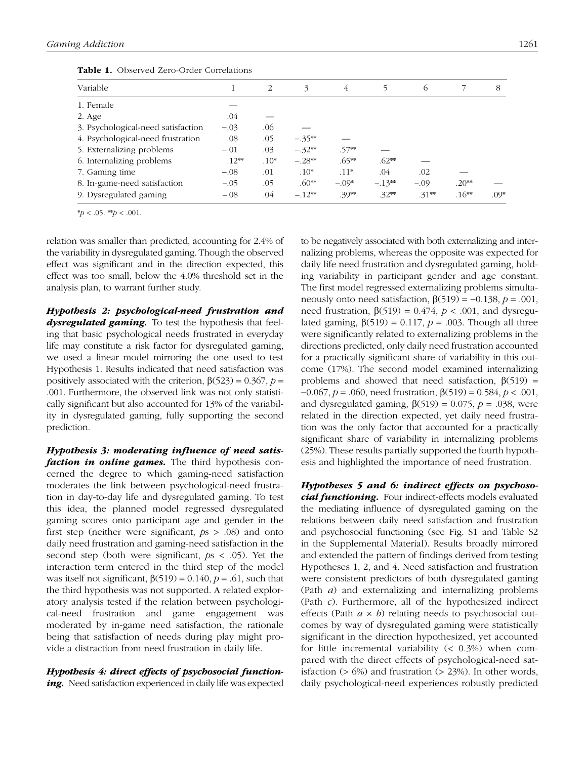| <b>Table 1.</b> Observed <i>E</i> cho-Order Contenations |         |        |          |         |          |         |         |      |  |  |
|----------------------------------------------------------|---------|--------|----------|---------|----------|---------|---------|------|--|--|
| Variable                                                 |         |        | 3        | 4       | 5        | $\circ$ |         | 8    |  |  |
| 1. Female                                                |         |        |          |         |          |         |         |      |  |  |
| 2. Age                                                   | .04     |        |          |         |          |         |         |      |  |  |
| 3. Psychological-need satisfaction                       | $-.03$  | .06    |          |         |          |         |         |      |  |  |
| 4. Psychological-need frustration                        | .08     | .05    | $-.35**$ |         |          |         |         |      |  |  |
| 5. Externalizing problems                                | $-.01$  | .03    | $-.32**$ | $.57**$ |          |         |         |      |  |  |
| 6. Internalizing problems                                | $.12**$ | $.10*$ | $-.28**$ | $.65**$ | $.62**$  |         |         |      |  |  |
| 7. Gaming time                                           | $-.08$  | .01    | $.10*$   | $.11*$  | .04      | .02     |         |      |  |  |
| 8. In-game-need satisfaction                             | $-.05$  | .05    | $.60**$  | $-.09*$ | $-.13**$ | $-.09$  | $.20**$ |      |  |  |
| 9. Dysregulated gaming                                   | $-.08$  | .04    | $-.12**$ | $.39**$ | $.32**$  | $.31**$ | $.16**$ | .09* |  |  |

Table 1. Observed Zero-Order Correlations

\**p* < .05. \*\**p* < .001.

relation was smaller than predicted, accounting for 2.4% of the variability in dysregulated gaming. Though the observed effect was significant and in the direction expected, this effect was too small, below the 4.0% threshold set in the analysis plan, to warrant further study.

*Hypothesis 2: psychological-need frustration and dysregulated gaming.* To test the hypothesis that feeling that basic psychological needs frustrated in everyday life may constitute a risk factor for dysregulated gaming, we used a linear model mirroring the one used to test Hypothesis 1. Results indicated that need satisfaction was positively associated with the criterion,  $β(523) = 0.367, p =$ .001. Furthermore, the observed link was not only statistically significant but also accounted for 13% of the variability in dysregulated gaming, fully supporting the second prediction.

*Hypothesis 3: moderating influence of need satisfaction in online games.* The third hypothesis concerned the degree to which gaming-need satisfaction moderates the link between psychological-need frustration in day-to-day life and dysregulated gaming. To test this idea, the planned model regressed dysregulated gaming scores onto participant age and gender in the first step (neither were significant, *p*s > .08) and onto daily need frustration and gaming-need satisfaction in the second step (both were significant, *p*s < .05). Yet the interaction term entered in the third step of the model was itself not significant,  $β(519) = 0.140, p = .61$ , such that the third hypothesis was not supported. A related exploratory analysis tested if the relation between psychological-need frustration and game engagement was moderated by in-game need satisfaction, the rationale being that satisfaction of needs during play might provide a distraction from need frustration in daily life.

*Hypothesis 4: direct effects of psychosocial functioning.* Need satisfaction experienced in daily life was expected to be negatively associated with both externalizing and internalizing problems, whereas the opposite was expected for daily life need frustration and dysregulated gaming, holding variability in participant gender and age constant. The first model regressed externalizing problems simultaneously onto need satisfaction,  $β(519) = -0.138, p = .001$ , need frustration,  $β(519) = 0.474$ ,  $p < .001$ , and dysregulated gaming,  $β(519) = 0.117$ ,  $p = .003$ . Though all three were significantly related to externalizing problems in the directions predicted, only daily need frustration accounted for a practically significant share of variability in this outcome (17%). The second model examined internalizing problems and showed that need satisfaction,  $\beta$ (519) = −0.067, *p* = .060, need frustration, β(519) = 0.584, *p* < .001, and dysregulated gaming,  $β(519) = 0.075$ ,  $p = .038$ , were related in the direction expected, yet daily need frustration was the only factor that accounted for a practically significant share of variability in internalizing problems (25%). These results partially supported the fourth hypothesis and highlighted the importance of need frustration.

*Hypotheses 5 and 6: indirect effects on psychosocial functioning.* Four indirect-effects models evaluated the mediating influence of dysregulated gaming on the relations between daily need satisfaction and frustration and psychosocial functioning (see Fig. S1 and Table S2 in the Supplemental Material). Results broadly mirrored and extended the pattern of findings derived from testing Hypotheses 1, 2, and 4. Need satisfaction and frustration were consistent predictors of both dysregulated gaming (Path *a*) and externalizing and internalizing problems (Path *c*). Furthermore, all of the hypothesized indirect effects (Path  $a \times b$ ) relating needs to psychosocial outcomes by way of dysregulated gaming were statistically significant in the direction hypothesized, yet accounted for little incremental variability  $($   $<$  0.3% $)$  when compared with the direct effects of psychological-need satisfaction  $(> 6\%)$  and frustration  $(> 23\%)$ . In other words, daily psychological-need experiences robustly predicted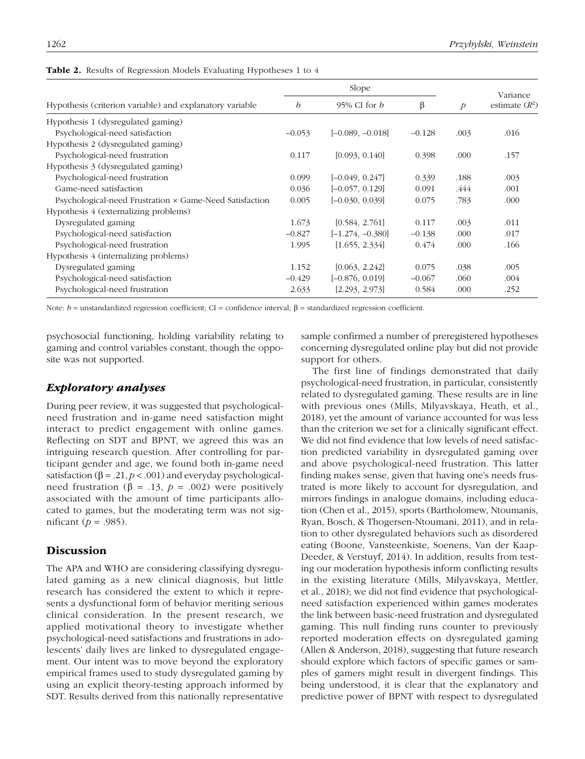|                                                          | Slope            |                    |          |      | Variance         |
|----------------------------------------------------------|------------------|--------------------|----------|------|------------------|
| Hypothesis (criterion variable) and explanatory variable | $\boldsymbol{b}$ | $95\%$ CI for $b$  | β        | Þ    | estimate $(R^2)$ |
| Hypothesis 1 (dysregulated gaming)                       |                  |                    |          |      |                  |
| Psychological-need satisfaction                          | $-0.053$         | $[-0.089, -0.018]$ | $-0.128$ | .003 | .016             |
| Hypothesis 2 (dysregulated gaming)                       |                  |                    |          |      |                  |
| Psychological-need frustration                           | 0.117            | [0.093, 0.140]     | 0.398    | .000 | .157             |
| Hypothesis 3 (dysregulated gaming)                       |                  |                    |          |      |                  |
| Psychological-need frustration                           | 0.099            | $[-0.049, 0.247]$  | 0.339    | .188 | .003             |
| Game-need satisfaction                                   | 0.036            | $[-0.057, 0.129]$  | 0.091    | .444 | .001             |
| Psychological-need Frustration × Game-Need Satisfaction  | 0.005            | $[-0.030, 0.039]$  | 0.075    | .783 | .000             |
| Hypothesis 4 (externalizing problems)                    |                  |                    |          |      |                  |
| Dysregulated gaming                                      | 1.673            | [0.584, 2.761]     | 0.117    | .003 | .011             |
| Psychological-need satisfaction                          | $-0.827$         | $[-1.274, -0.380]$ | $-0.138$ | .000 | .017             |
| Psychological-need frustration                           | 1.995            | [1.655, 2.334]     | 0.474    | .000 | .166             |
| Hypothesis 4 (internalizing problems)                    |                  |                    |          |      |                  |
| Dysregulated gaming                                      | 1.152            | [0.063, 2.242]     | 0.075    | .038 | .005             |
| Psychological-need satisfaction                          | $-0.429$         | $[-0.876, 0.019]$  | $-0.067$ | .060 | .004             |
| Psychological-need frustration                           | 2.633            | [2.293, 2.973]     | 0.584    | .000 | .252             |

Table 2. Results of Regression Models Evaluating Hypotheses 1 to 4

Note:  $b$  = unstandardized regression coefficient; CI = confidence interval;  $β$  = standardized regression coefficient.

psychosocial functioning, holding variability relating to gaming and control variables constant, though the opposite was not supported.

# *Exploratory analyses*

During peer review, it was suggested that psychologicalneed frustration and in-game need satisfaction might interact to predict engagement with online games. Reflecting on SDT and BPNT, we agreed this was an intriguing research question. After controlling for participant gender and age, we found both in-game need satisfaction ( $\beta$  = .21,  $p$  < .001) and everyday psychologicalneed frustration (β = .13, *p* = .002) were positively associated with the amount of time participants allocated to games, but the moderating term was not significant ( $p = .985$ ).

# **Discussion**

The APA and WHO are considering classifying dysregulated gaming as a new clinical diagnosis, but little research has considered the extent to which it represents a dysfunctional form of behavior meriting serious clinical consideration. In the present research, we applied motivational theory to investigate whether psychological-need satisfactions and frustrations in adolescents' daily lives are linked to dysregulated engagement. Our intent was to move beyond the exploratory empirical frames used to study dysregulated gaming by using an explicit theory-testing approach informed by SDT. Results derived from this nationally representative sample confirmed a number of preregistered hypotheses concerning dysregulated online play but did not provide support for others.

The first line of findings demonstrated that daily psychological-need frustration, in particular, consistently related to dysregulated gaming. These results are in line with previous ones (Mills, Milyavskaya, Heath, et al., 2018), yet the amount of variance accounted for was less than the criterion we set for a clinically significant effect. We did not find evidence that low levels of need satisfaction predicted variability in dysregulated gaming over and above psychological-need frustration. This latter finding makes sense, given that having one's needs frustrated is more likely to account for dysregulation, and mirrors findings in analogue domains, including education (Chen et al., 2015), sports (Bartholomew, Ntoumanis, Ryan, Bosch, & Thogersen-Ntoumani, 2011), and in relation to other dysregulated behaviors such as disordered eating (Boone, Vansteenkiste, Soenens, Van der Kaap-Deeder, & Verstuyf, 2014). In addition, results from testing our moderation hypothesis inform conflicting results in the existing literature (Mills, Milyavskaya, Mettler, et al., 2018); we did not find evidence that psychologicalneed satisfaction experienced within games moderates the link between basic-need frustration and dysregulated gaming. This null finding runs counter to previously reported moderation effects on dysregulated gaming (Allen & Anderson, 2018), suggesting that future research should explore which factors of specific games or samples of gamers might result in divergent findings. This being understood, it is clear that the explanatory and predictive power of BPNT with respect to dysregulated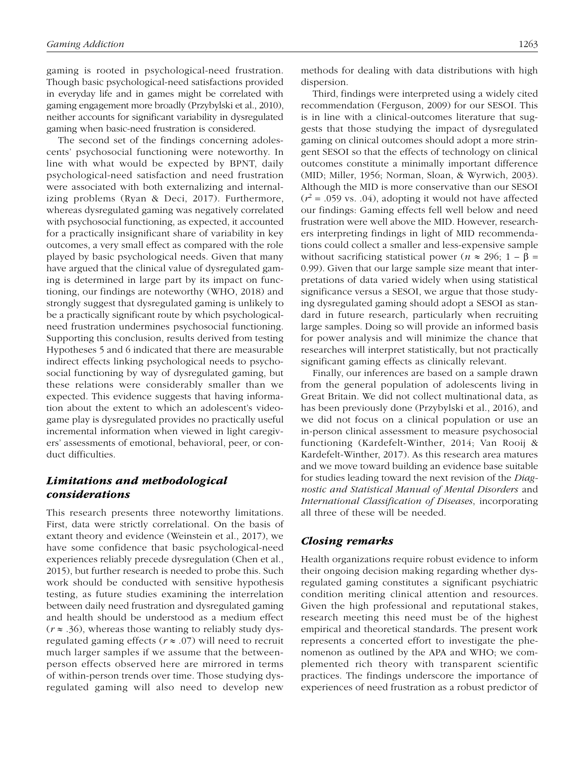gaming is rooted in psychological-need frustration. Though basic psychological-need satisfactions provided in everyday life and in games might be correlated with gaming engagement more broadly (Przybylski et al., 2010), neither accounts for significant variability in dysregulated gaming when basic-need frustration is considered.

The second set of the findings concerning adolescents' psychosocial functioning were noteworthy. In line with what would be expected by BPNT, daily psychological-need satisfaction and need frustration were associated with both externalizing and internalizing problems (Ryan & Deci, 2017). Furthermore, whereas dysregulated gaming was negatively correlated with psychosocial functioning, as expected, it accounted for a practically insignificant share of variability in key outcomes, a very small effect as compared with the role played by basic psychological needs. Given that many have argued that the clinical value of dysregulated gaming is determined in large part by its impact on functioning, our findings are noteworthy (WHO, 2018) and strongly suggest that dysregulated gaming is unlikely to be a practically significant route by which psychologicalneed frustration undermines psychosocial functioning. Supporting this conclusion, results derived from testing Hypotheses 5 and 6 indicated that there are measurable indirect effects linking psychological needs to psychosocial functioning by way of dysregulated gaming, but these relations were considerably smaller than we expected. This evidence suggests that having information about the extent to which an adolescent's videogame play is dysregulated provides no practically useful incremental information when viewed in light caregivers' assessments of emotional, behavioral, peer, or conduct difficulties.

# *Limitations and methodological considerations*

This research presents three noteworthy limitations. First, data were strictly correlational. On the basis of extant theory and evidence (Weinstein et al., 2017), we have some confidence that basic psychological-need experiences reliably precede dysregulation (Chen et al., 2015), but further research is needed to probe this. Such work should be conducted with sensitive hypothesis testing, as future studies examining the interrelation between daily need frustration and dysregulated gaming and health should be understood as a medium effect  $(r \approx .36)$ , whereas those wanting to reliably study dysregulated gaming effects ( $r \approx .07$ ) will need to recruit much larger samples if we assume that the betweenperson effects observed here are mirrored in terms of within-person trends over time. Those studying dysregulated gaming will also need to develop new methods for dealing with data distributions with high dispersion.

Third, findings were interpreted using a widely cited recommendation (Ferguson, 2009) for our SESOI. This is in line with a clinical-outcomes literature that suggests that those studying the impact of dysregulated gaming on clinical outcomes should adopt a more stringent SESOI so that the effects of technology on clinical outcomes constitute a minimally important difference (MID; Miller, 1956; Norman, Sloan, & Wyrwich, 2003). Although the MID is more conservative than our SESOI  $(r^2 = .059 \text{ vs. } .04)$ , adopting it would not have affected our findings: Gaming effects fell well below and need frustration were well above the MID. However, researchers interpreting findings in light of MID recommendations could collect a smaller and less-expensive sample without sacrificing statistical power ( $n \approx 296$ ; 1 –  $\beta$  = 0.99). Given that our large sample size meant that interpretations of data varied widely when using statistical significance versus a SESOI, we argue that those studying dysregulated gaming should adopt a SESOI as standard in future research, particularly when recruiting large samples. Doing so will provide an informed basis for power analysis and will minimize the chance that researches will interpret statistically, but not practically significant gaming effects as clinically relevant.

Finally, our inferences are based on a sample drawn from the general population of adolescents living in Great Britain. We did not collect multinational data, as has been previously done (Przybylski et al., 2016), and we did not focus on a clinical population or use an in-person clinical assessment to measure psychosocial functioning (Kardefelt-Winther, 2014; Van Rooij & Kardefelt-Winther, 2017). As this research area matures and we move toward building an evidence base suitable for studies leading toward the next revision of the *Diagnostic and Statistical Manual of Mental Disorders* and *International Classification of Diseases*, incorporating all three of these will be needed.

# *Closing remarks*

Health organizations require robust evidence to inform their ongoing decision making regarding whether dysregulated gaming constitutes a significant psychiatric condition meriting clinical attention and resources. Given the high professional and reputational stakes, research meeting this need must be of the highest empirical and theoretical standards. The present work represents a concerted effort to investigate the phenomenon as outlined by the APA and WHO; we complemented rich theory with transparent scientific practices. The findings underscore the importance of experiences of need frustration as a robust predictor of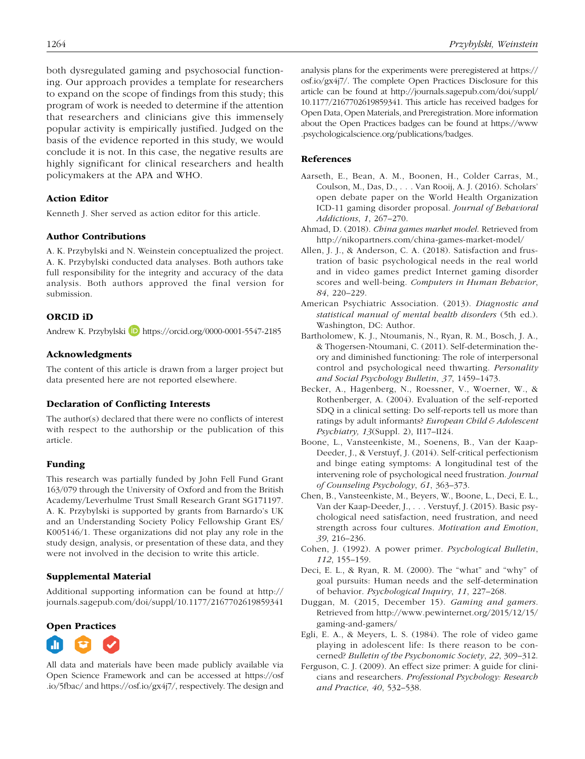both dysregulated gaming and psychosocial functioning. Our approach provides a template for researchers to expand on the scope of findings from this study; this program of work is needed to determine if the attention that researchers and clinicians give this immensely popular activity is empirically justified. Judged on the basis of the evidence reported in this study, we would conclude it is not. In this case, the negative results are highly significant for clinical researchers and health policymakers at the APA and WHO.

## Action Editor

Kenneth J. Sher served as action editor for this article.

#### Author Contributions

A. K. Przybylski and N. Weinstein conceptualized the project. A. K. Przybylski conducted data analyses. Both authors take full responsibility for the integrity and accuracy of the data analysis. Both authors approved the final version for submission.

### ORCID iD

Andrew K. Przybylski **intersection** <https://orcid.org/0000-0001-5547-2185>

### Acknowledgments

The content of this article is drawn from a larger project but data presented here are not reported elsewhere.

#### Declaration of Conflicting Interests

The author(s) declared that there were no conflicts of interest with respect to the authorship or the publication of this article.

#### Funding

This research was partially funded by John Fell Fund Grant 163/079 through the University of Oxford and from the British Academy/Leverhulme Trust Small Research Grant SG171197. A. K. Przybylski is supported by grants from Barnardo's UK and an Understanding Society Policy Fellowship Grant ES/ K005146/1. These organizations did not play any role in the study design, analysis, or presentation of these data, and they were not involved in the decision to write this article.

#### Supplemental Material

Additional supporting information can be found at [http://](http://journals.sagepub.com/doi/suppl/10.1177/2167702619859341) [journals.sagepub.com/doi/suppl/10.1177/2167702619859341](http://journals.sagepub.com/doi/suppl/10.1177/2167702619859341)

#### Open Practices



All data and materials have been made publicly available via Open Science Framework and can be accessed at [https://osf](https://osf.io/5fbac/) [.io/5fbac/](https://osf.io/5fbac/) and [https://osf.io/gx4j7/,](https://osf.io/gx4j7/) respectively. The design and analysis plans for the experiments were preregistered at [https://](https://osf.io/gx4j7/) [osf.io/gx4j7/](https://osf.io/gx4j7/). The complete Open Practices Disclosure for this article can be found at [http://journals.sagepub.com/doi/suppl/](http://journals.sagepub.com/doi/suppl/10.1177/2167702619859341) [10.1177/2167702619859341](http://journals.sagepub.com/doi/suppl/10.1177/2167702619859341). This article has received badges for Open Data, Open Materials, and Preregistration. More information about the Open Practices badges can be found at [https://www](https://www.psychologicalscience.org/publications/badges) [.psychologicalscience.org/publications/badges](https://www.psychologicalscience.org/publications/badges).

#### References

- Aarseth, E., Bean, A. M., Boonen, H., Colder Carras, M., Coulson, M., Das, D., . . . Van Rooij, A. J. (2016). Scholars' open debate paper on the World Health Organization ICD-11 gaming disorder proposal. *Journal of Behavioral Addictions*, *1*, 267–270.
- Ahmad, D. (2018). *China games market model*. Retrieved from <http://nikopartners.com/china-games-market-model/>
- Allen, J. J., & Anderson, C. A. (2018). Satisfaction and frustration of basic psychological needs in the real world and in video games predict Internet gaming disorder scores and well-being. *Computers in Human Behavior*, *84*, 220–229.
- American Psychiatric Association. (2013). *Diagnostic and statistical manual of mental health disorders* (5th ed.). Washington, DC: Author.
- Bartholomew, K. J., Ntoumanis, N., Ryan, R. M., Bosch, J. A., & Thogersen-Ntoumani, C. (2011). Self-determination theory and diminished functioning: The role of interpersonal control and psychological need thwarting. *Personality and Social Psychology Bulletin*, *37*, 1459–1473.
- Becker, A., Hagenberg, N., Roessner, V., Woerner, W., & Rothenberger, A. (2004). Evaluation of the self-reported SDQ in a clinical setting: Do self-reports tell us more than ratings by adult informants? *European Child & Adolescent Psychiatry, 13*(Suppl. 2), II17–II24.
- Boone, L., Vansteenkiste, M., Soenens, B., Van der Kaap-Deeder, J., & Verstuyf, J. (2014). Self-critical perfectionism and binge eating symptoms: A longitudinal test of the intervening role of psychological need frustration. *Journal of Counseling Psychology*, *61*, 363–373.
- Chen, B., Vansteenkiste, M., Beyers, W., Boone, L., Deci, E. L., Van der Kaap-Deeder, J., . . . Verstuyf, J. (2015). Basic psychological need satisfaction, need frustration, and need strength across four cultures. *Motivation and Emotion*, *39*, 216–236.
- Cohen, J. (1992). A power primer. *Psychological Bulletin*, *112*, 155–159.
- Deci, E. L., & Ryan, R. M. (2000). The "what" and "why" of goal pursuits: Human needs and the self-determination of behavior. *Psychological Inquiry*, *11*, 227–268.
- Duggan, M. (2015, December 15). *Gaming and gamers*. Retrieved from [http://www.pewinternet.org/2015/12/15/](http://www.pewinternet.org/2015/12/15/gaming-and-gamers/) [gaming-and-gamers/](http://www.pewinternet.org/2015/12/15/gaming-and-gamers/)
- Egli, E. A., & Meyers, L. S. (1984). The role of video game playing in adolescent life: Is there reason to be concerned? *Bulletin of the Psychonomic Society*, *22*, 309–312.
- Ferguson, C. J. (2009). An effect size primer: A guide for clinicians and researchers. *Professional Psychology: Research and Practice*, *40*, 532–538.